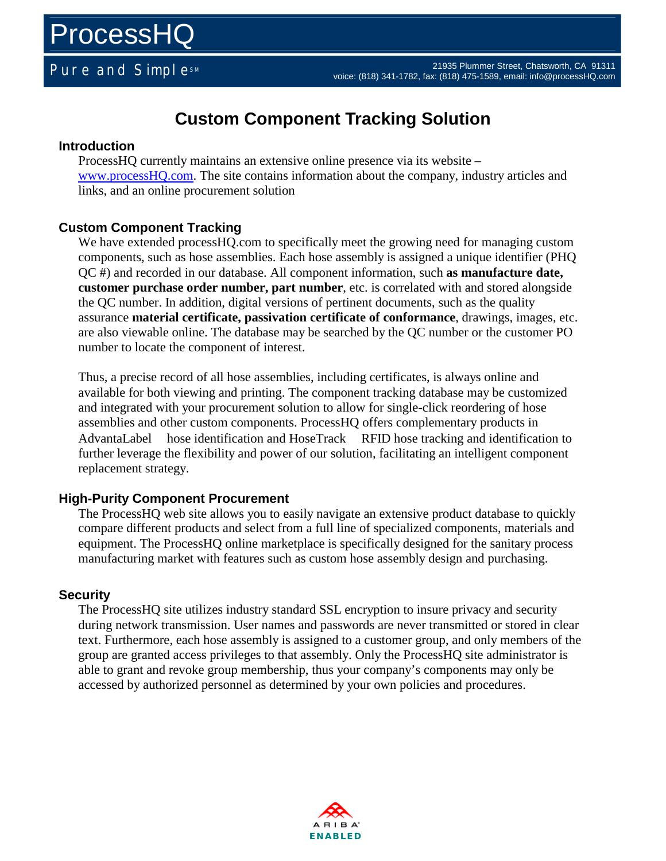## **Custom Component Tracking Solution**

#### **Introduction**

ProcessHQ currently maintains an extensive online presence via its website – www.processHQ.com. The site contains information about the company, industry articles and links, and an online procurement solution

### **Custom Component Tracking**

We have extended processHQ.com to specifically meet the growing need for managing custom components, such as hose assemblies. Each hose assembly is assigned a unique identifier (PHQ QC #) and recorded in our database. All component information, such **as manufacture date, customer purchase order number, part number**, etc. is correlated with and stored alongside the QC number. In addition, digital versions of pertinent documents, such as the quality assurance **material certificate, passivation certificate of conformance**, drawings, images, etc. are also viewable online. The database may be searched by the QC number or the customer PO number to locate the component of interest.

Thus, a precise record of all hose assemblies, including certificates, is always online and available for both viewing and printing. The component tracking database may be customized and integrated with your procurement solution to allow for single-click reordering of hose assemblies and other custom components. ProcessHQ offers complementary products in AdvantaLabel<sup>TM</sup> hose identification and HoseTrack<sup>TM</sup> RFID hose tracking and identification to further leverage the flexibility and power of our solution, facilitating an intelligent component replacement strategy.

#### **High-Purity Component Procurement**

The ProcessHQ web site allows you to easily navigate an extensive product database to quickly compare different products and select from a full line of specialized components, materials and equipment. The ProcessHQ online marketplace is specifically designed for the sanitary process manufacturing market with features such as custom hose assembly design and purchasing.

#### **Security**

The ProcessHQ site utilizes industry standard SSL encryption to insure privacy and security during network transmission. User names and passwords are never transmitted or stored in clear text. Furthermore, each hose assembly is assigned to a customer group, and only members of the group are granted access privileges to that assembly. Only the ProcessHQ site administrator is able to grant and revoke group membership, thus your company's components may only be accessed by authorized personnel as determined by your own policies and procedures.